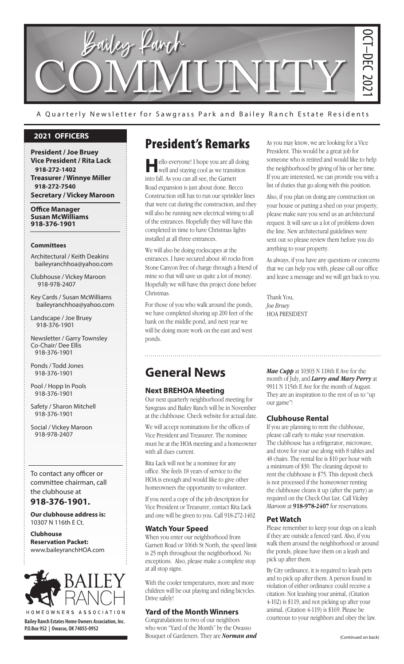

A Quarterly Newsletter for Sawgrass Park and Bailey Ranch Estate Residents

#### **2021 OFFICERS**

**President / Joe Bruey Vice President / Rita Lack 918-272-1402 Treasurer / Winnye Miller 918-272-7540 Secretary / Vickey Maroon**

**Office Manager Susan McWilliams 918-376-1901**

#### **Committees**

Architectural / Keith Deakins baileyranchhoa@yahoo.com

Clubhouse / Vickey Maroon 918-978-2407

Key Cards / Susan McWilliams baileyranchhoa@yahoo.com

Landscape / Joe Bruey 918-376-1901

Newsletter / Garry Townsley Co-Chair/ Dee Ellis 918-376-1901

Ponds / Todd Jones 918-376-1901

Pool / Hopp In Pools 918-376-1901

Safety / Sharon Mitchell 918-376-1901

Social / Vickey Maroon 918-978-2407

To contact any officer or committee chairman, call the clubhouse at

#### **918-376-1901.**

**Our clubhouse address is:**  10307 N 116th E Ct.

**Clubhouse Reservation Packet:**  www.baileyranchHOA.com



**Bailey Ranch Estates Home Owners Association, Inc. P.O.Box 952 | Owasso, OK 74055-0952**

## President's Remarks

ello everyone! I hope you are all doing well and staying cool as we transition into fall. As you can all see, the Garnett Road expansion is just about done. Becco Construction still has to run our sprinkler lines that were cut during the construction, and they will also be running new electrical wiring to all of the entrances. Hopefully they will have this completed in time to have Christmas lights installed at all three entrances.

We will also be doing rockscapes at the entrances. I have secured about 40 rocks from Stone Canyon free of charge through a friend of mine so that will save us quite a lot of money. Hopefully we will have this project done before Christmas.

For those of you who walk around the ponds, we have completed shoring up 200 feet of the bank on the middle pond, and next year we will be doing more work on the east and west ponds.

As you may know, we are looking for a Vice President. This would be a great job for someone who is retired and would like to help the neighborhood by giving of his or her time. If you are interested, we can provide you with a list of duties that go along with this position.

Also, if you plan on doing any construction on your house or putting a shed on your property, please make sure you send us an architectural request. It will save us a lot of problems down the line. New architectural guidelines were sent out so please review them before you do anything to your property.

As always, if you have any questions or concerns that we can help you with, please call our office and leave a message and we will get back to you.

Thank You, *Joe Bruey* HOA PRESIDENT

## **General News**

#### **Next BREHOA Meeting**

Our next quarterly neighborhood meeting for Sawgrass and Bailey Ranch will be in November at the clubhouse. Check website for actual date.

We will accept nominations for the offices of Vice President and Treasurer. The nominee must be at the HOA meeting and a homeowner with all dues current.

Rita Lack will not be a nominee for any office. She feels 18 years of service to the HOA is enough and would like to give other homeowners the opportunity to volunteer.

If you need a copy of the job description for Vice President or Treasurer, contact Rita Lack and one will be given to you. Call 918-272-1402

#### **Watch Your Speed**

When you enter our neighborhood from Garnett Road or 106th St North, the speed limit is 25 mph throughout the neighborhood. No exceptions. Also, please make a complete stop at all stop signs.

With the cooler temperatures, more and more children will be out playing and riding bicycles. Drive safely!

#### **Yard of the Month Winners**

Congratulations to two of our neighbors who won "Yard of the Month" by the Owasso Bouquet of Gardeners. They are *Norman and*  *Mae Cupp* at 10303 N 118th E Ave for the month of July, and *Larry and Mary Perry* at 9911 N 115th E Ave for the month of August. They are an inspiration to the rest of us to "up our game"!

#### **Clubhouse Rental**

and the party of the law.<br>
(Continued on back)<br>
is idents and the total like to help<br>
is or her time.<br>
by the soluce of the povide you with a<br>
this position.<br>
onstruction on your property,<br>
n architectural<br>
roblems down<br>
e If you are planning to rent the clubhouse, please call early to make your reservation. The clubhouse has a refrigerator, microwave, and stove for your use along with 8 tables and 48 chairs. The rental fee is \$10 per hour with a minimum of \$30. The cleaning deposit to rent the clubhouse is \$75. This deposit check is not processed if the homeowner renting the clubhouse cleans it up (after the party) as required on the Check Out List. Call *Vickey Maroon* at **918-978-2407** for reservations.

#### **Pet Watch**

Please remember to keep your dogs on a leash if they are outside a fenced yard. Also, if you walk them around the neighborhood or around the ponds, please have them on a leash and pick up after them.

By City ordinance, it is required to leash pets and to pick up after them. A person found in violation of either ordinance could receive a citation: Not leashing your animal, (Citation 4-102) is \$119, and not picking up after your animal, (Citation 4-119) is \$169. Please be courteous to your neighbors and obey the law.